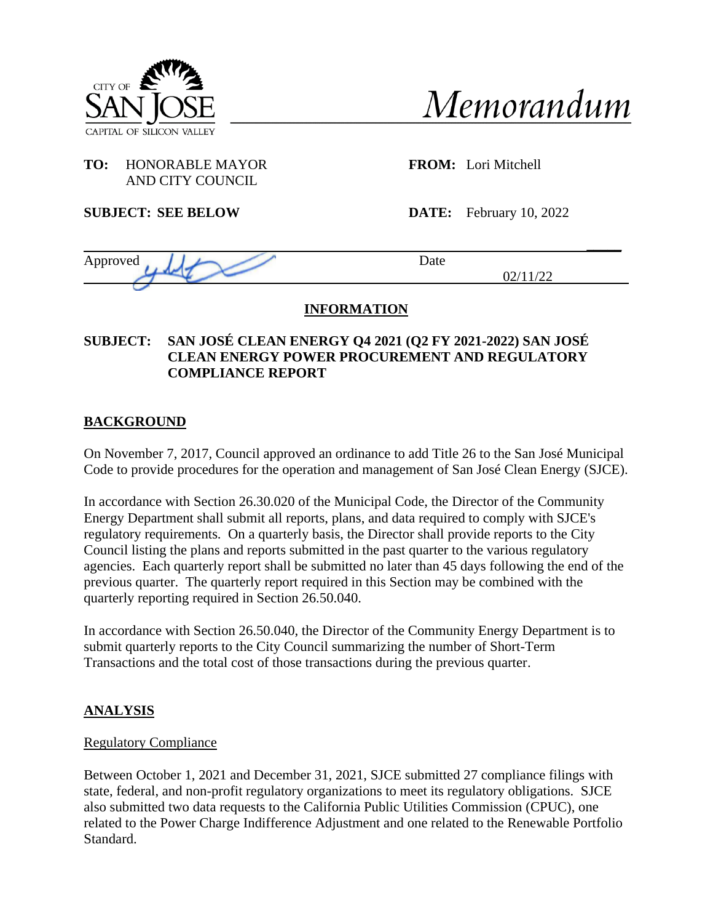



## **TO:** HONORABLE MAYOR **FROM:** Lori Mitchell AND CITY COUNCIL

**SUBJECT: SEE BELOW DATE:** February 10, 2022

| Approved | Date |
|----------|------|
|          | ∼    |
|          |      |

# **INFORMATION**

## **SUBJECT: SAN JOSÉ CLEAN ENERGY Q4 2021 (Q2 FY 2021-2022) SAN JOSÉ CLEAN ENERGY POWER PROCUREMENT AND REGULATORY COMPLIANCE REPORT**

# **BACKGROUND**

On November 7, 2017, Council approved an ordinance to add Title 26 to the San José Municipal Code to provide procedures for the operation and management of San José Clean Energy (SJCE).

In accordance with Section 26.30.020 of the Municipal Code, the Director of the Community Energy Department shall submit all reports, plans, and data required to comply with SJCE's regulatory requirements. On a quarterly basis, the Director shall provide reports to the City Council listing the plans and reports submitted in the past quarter to the various regulatory agencies. Each quarterly report shall be submitted no later than 45 days following the end of the previous quarter. The quarterly report required in this Section may be combined with the quarterly reporting required in Section 26.50.040.

In accordance with Section 26.50.040, the Director of the Community Energy Department is to submit quarterly reports to the City Council summarizing the number of Short-Term Transactions and the total cost of those transactions during the previous quarter.

# **ANALYSIS**

## Regulatory Compliance

Between October 1, 2021 and December 31, 2021, SJCE submitted 27 compliance filings with state, federal, and non-profit regulatory organizations to meet its regulatory obligations. SJCE also submitted two data requests to the California Public Utilities Commission (CPUC), one related to the Power Charge Indifference Adjustment and one related to the Renewable Portfolio Standard.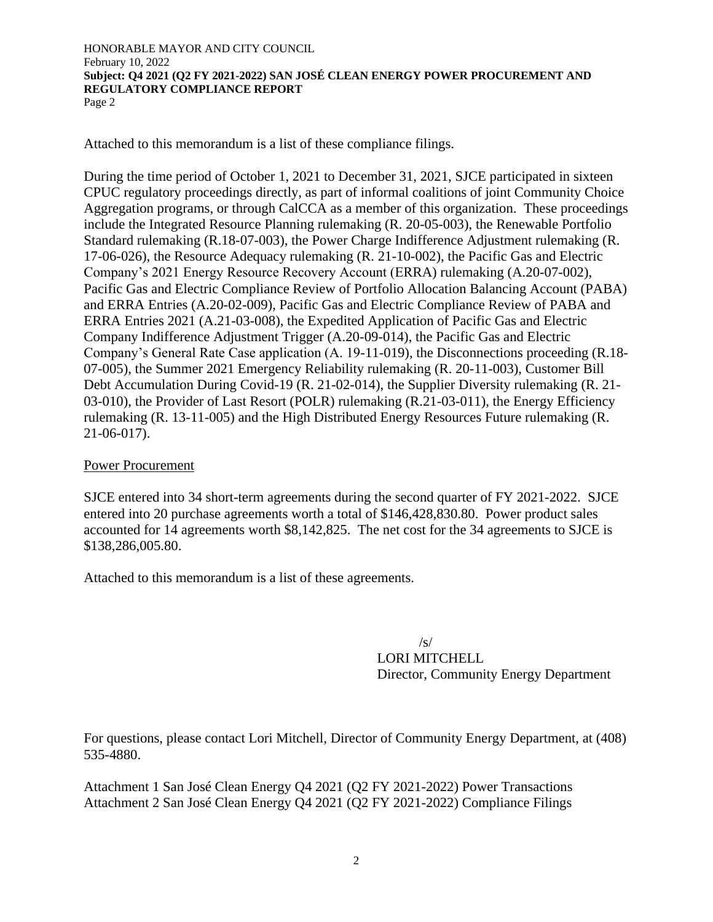Attached to this memorandum is a list of these compliance filings.

During the time period of October 1, 2021 to December 31, 2021, SJCE participated in sixteen CPUC regulatory proceedings directly, as part of informal coalitions of joint Community Choice Aggregation programs, or through CalCCA as a member of this organization. These proceedings include the Integrated Resource Planning rulemaking (R. 20-05-003), the Renewable Portfolio Standard rulemaking (R.18-07-003), the Power Charge Indifference Adjustment rulemaking (R. 17-06-026), the Resource Adequacy rulemaking (R. 21-10-002), the Pacific Gas and Electric Company's 2021 Energy Resource Recovery Account (ERRA) rulemaking (A.20-07-002), Pacific Gas and Electric Compliance Review of Portfolio Allocation Balancing Account (PABA) and ERRA Entries (A.20-02-009), Pacific Gas and Electric Compliance Review of PABA and ERRA Entries 2021 (A.21-03-008), the Expedited Application of Pacific Gas and Electric Company Indifference Adjustment Trigger (A.20-09-014), the Pacific Gas and Electric Company's General Rate Case application (A. 19-11-019), the Disconnections proceeding (R.18- 07-005), the Summer 2021 Emergency Reliability rulemaking (R. 20-11-003), Customer Bill Debt Accumulation During Covid-19 (R. 21-02-014), the Supplier Diversity rulemaking (R. 21- 03-010), the Provider of Last Resort (POLR) rulemaking (R.21-03-011), the Energy Efficiency rulemaking (R. 13-11-005) and the High Distributed Energy Resources Future rulemaking (R. 21-06-017).

## Power Procurement

SJCE entered into 34 short-term agreements during the second quarter of FY 2021-2022. SJCE entered into 20 purchase agreements worth a total of \$146,428,830.80. Power product sales accounted for 14 agreements worth \$8,142,825. The net cost for the 34 agreements to SJCE is \$138,286,005.80.

Attached to this memorandum is a list of these agreements.

 $/s/$ LORI MITCHELL Director, Community Energy Department

For questions, please contact Lori Mitchell, Director of Community Energy Department, at (408) 535-4880.

Attachment 1 San José Clean Energy Q4 2021 (Q2 FY 2021-2022) Power Transactions Attachment 2 San José Clean Energy Q4 2021 (Q2 FY 2021-2022) Compliance Filings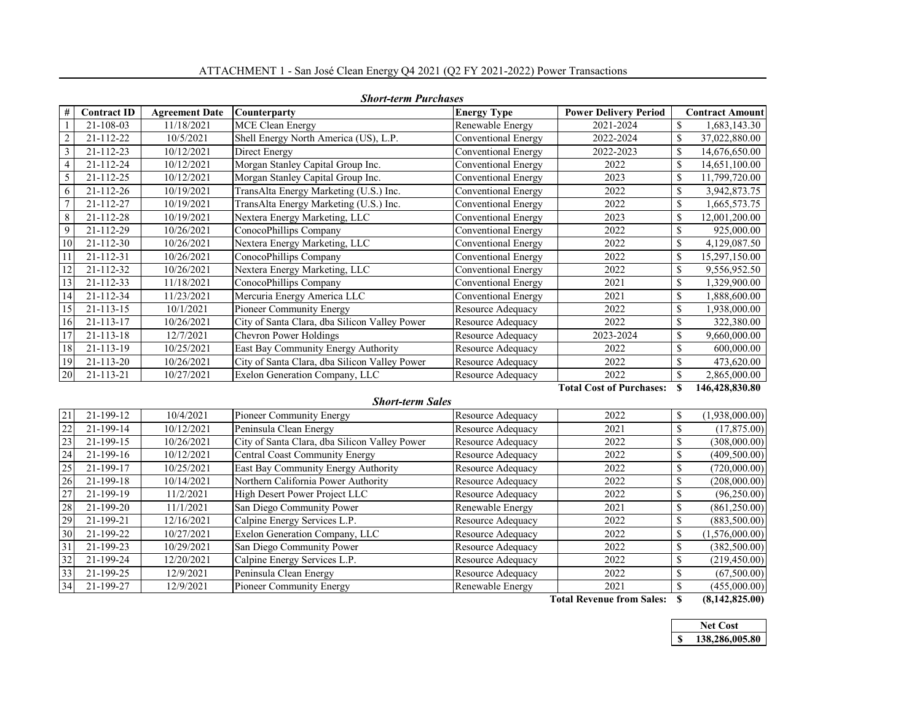|                | <b>Short-term Purchases</b> |                       |                                               |                            |                                 |    |                        |
|----------------|-----------------------------|-----------------------|-----------------------------------------------|----------------------------|---------------------------------|----|------------------------|
| #              | <b>Contract ID</b>          | <b>Agreement Date</b> | <b>Counterparty</b>                           | <b>Energy Type</b>         | <b>Power Delivery Period</b>    |    | <b>Contract Amount</b> |
|                | $21 - 108 - 03$             | 11/18/2021            | <b>MCE Clean Energy</b>                       | Renewable Energy           | 2021-2024                       | \$ | 1,683,143.30           |
| $\overline{2}$ | 21-112-22                   | 10/5/2021             | Shell Energy North America (US), L.P.         | Conventional Energy        | 2022-2024                       | \$ | 37,022,880.00          |
| 3              | $21 - 112 - 23$             | 10/12/2021            | Direct Energy                                 | Conventional Energy        | 2022-2023                       | \$ | 14,676,650.00          |
| 4              | 21-112-24                   | 10/12/2021            | Morgan Stanley Capital Group Inc.             | <b>Conventional Energy</b> | 2022                            | \$ | 14,651,100.00          |
| 5              | 21-112-25                   | 10/12/2021            | Morgan Stanley Capital Group Inc.             | Conventional Energy        | 2023                            | \$ | 11,799,720.00          |
| 6              | 21-112-26                   | 10/19/2021            | TransAlta Energy Marketing (U.S.) Inc.        | Conventional Energy        | 2022                            | \$ | 3,942,873.75           |
| 7              | 21-112-27                   | 10/19/2021            | TransAlta Energy Marketing (U.S.) Inc.        | Conventional Energy        | 2022                            | \$ | 1,665,573.75           |
| 8              | 21-112-28                   | 10/19/2021            | Nextera Energy Marketing, LLC                 | Conventional Energy        | 2023                            | \$ | 12,001,200.00          |
| 9              | 21-112-29                   | 10/26/2021            | ConocoPhillips Company                        | Conventional Energy        | 2022                            | \$ | 925,000.00             |
| 10             | $21 - 112 - 30$             | 10/26/2021            | Nextera Energy Marketing, LLC                 | Conventional Energy        | 2022                            | \$ | 4,129,087.50           |
| 11             | 21-112-31                   | 10/26/2021            | ConocoPhillips Company                        | Conventional Energy        | 2022                            | \$ | 15,297,150.00          |
| 12             | $21 - 112 - 32$             | 10/26/2021            | Nextera Energy Marketing, LLC                 | Conventional Energy        | 2022                            | \$ | 9,556,952.50           |
| 13             | $21 - 112 - 33$             | 11/18/2021            | ConocoPhillips Company                        | Conventional Energy        | 2021                            | \$ | 1,329,900.00           |
| 14             | 21-112-34                   | 11/23/2021            | Mercuria Energy America LLC                   | Conventional Energy        | 2021                            | \$ | 1,888,600.00           |
| 15             | $21 - 113 - 15$             | 10/1/2021             | Pioneer Community Energy                      | Resource Adequacy          | 2022                            | \$ | 938,000.00             |
| 16             | $21 - 113 - 17$             | 10/26/2021            | City of Santa Clara, dba Silicon Valley Power | Resource Adequacy          | 2022                            | \$ | 322,380.00             |
| 17             | 21-113-18                   | 12/7/2021             | Chevron Power Holdings                        | Resource Adequacy          | 2023-2024                       | \$ | 9,660,000.00           |
| 18             | $21 - 113 - 19$             | 10/25/2021            | East Bay Community Energy Authority           | Resource Adequacy          | 2022                            | \$ | 600,000.00             |
| 19             | $21 - 113 - 20$             | 10/26/2021            | City of Santa Clara, dba Silicon Valley Power | Resource Adequacy          | 2022                            | \$ | 473,620.00             |
| 20             | 21-113-21                   | 10/27/2021            | Exelon Generation Company, LLC                | Resource Adequacy          | 2022                            | \$ | 2,865,000.00           |
|                |                             |                       |                                               |                            | <b>Total Cost of Purchases:</b> | S  | 146.428.830.80         |

#### ATTACHMENT 1 - San José Clean Energy Q4 2021 (Q2 FY 2021-2022) Power Transactions

#### *Short-term Sales*

### 21 21-199-12 10/4/2021 Pioneer Community Energy Resource Adequacy 2022 \ \$ (1,938,000.00) 22 21-199-14 10/12/2021 Peninsula Clean Energy Resource Adequacy 2021 8 (17,875.00) 23 21-199-15 10/26/2021 City of Santa Clara, dba Silicon Valley Power Resource Adequacy 2022 \ \$ (308,000.00) 24 21-199-16 10/12/2021 Central Coast Community Energy Resource Adequacy 2022 \ \$ (409,500.00) 25 21-199-17 10/25/2021 East Bay Community Energy Authority Resource Adequacy 2022 \ \$ (720,000.00) 26 21-199-18 10/14/2021 Northern California Power Authority Resource Adequacy 2022 \ 8 (208,000.00) 27 21-199-19 11/2/2021 High Desert Power Project LLC Resource Adequacy 2022 \ \$ (96,250.00) 28 21-199-20 11/1/2021 San Diego Community Power Renewable Energy 2021 \$ (861,250.00) 29 21-199-21 12/16/2021 Calpine Energy Services L.P. Resource Adequacy 2022 \ \$ (883,500.00) 30 21-199-22 10/27/2021 Exelon Generation Company, LLC Resource Adequacy 2022 \$ (1,576,000.00) 31 21-199-23 10/29/2021 San Diego Community Power Resource Adequacy 2022 \$ (382,500.00) 32 21-199-24 12/20/2021 Calpine Energy Services L.P. Resource Adequacy 2022 \$ 33 21-199-25 12/9/2021 Peninsula Clean Energy Resource Adequacy 2022 \$ (67,500.00) 34 21-199-27 12/9/2021 Pioneer Community Energy Renewable Energy 2021 \$ (455,000.00)

**Total Revenue from Sales: \$ (8,142,825.00)**

|  | Net Cost       |
|--|----------------|
|  | 138,286,005.80 |